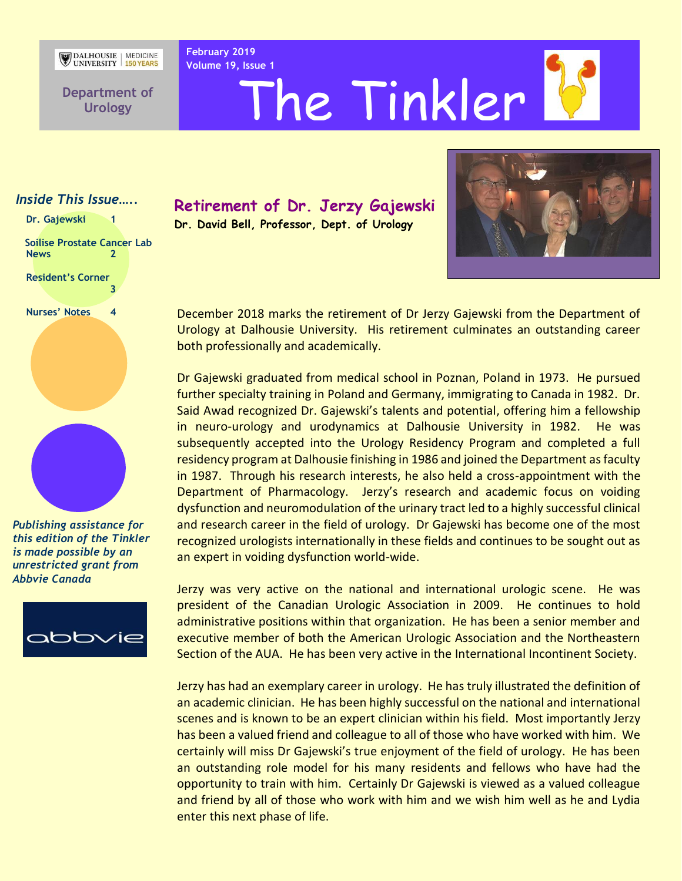DALHOUSIE MEDICINE

**February 2019**

**Department of Urology**

**Volume 19, Issue 1** The Tinkler

#### *Inside This Issue…..*

Dr. Gajewski 1

 **Soilise Prostate Cancer Lab News 2**

**Resident's Corner 3**

**Nurses' Notes 4**



*Publishing assistance for this edition of the Tinkler is made possible by an unrestricted grant from Abbvie Canada*



**Retirement of Dr. Jerzy Gajewski Dr. David Bell, Professor, Dept. of Urology** 



December 2018 marks the retirement of Dr Jerzy Gajewski from the Department of Urology at Dalhousie University. His retirement culminates an outstanding career both professionally and academically.

Dr Gajewski graduated from medical school in Poznan, Poland in 1973. He pursued further specialty training in Poland and Germany, immigrating to Canada in 1982. Dr. Said Awad recognized Dr. Gajewski's talents and potential, offering him a fellowship in neuro-urology and urodynamics at Dalhousie University in 1982. He was subsequently accepted into the Urology Residency Program and completed a full residency program at Dalhousie finishing in 1986 and joined the Department as faculty in 1987. Through his research interests, he also held a cross-appointment with the Department of Pharmacology. Jerzy's research and academic focus on voiding dysfunction and neuromodulation of the urinary tract led to a highly successful clinical and research career in the field of urology. Dr Gajewski has become one of the most recognized urologists internationally in these fields and continues to be sought out as an expert in voiding dysfunction world-wide.

Jerzy was very active on the national and international urologic scene. He was president of the Canadian Urologic Association in 2009. He continues to hold administrative positions within that organization. He has been a senior member and executive member of both the American Urologic Association and the Northeastern Section of the AUA. He has been very active in the International Incontinent Society.

Jerzy has had an exemplary career in urology. He has truly illustrated the definition of an academic clinician. He has been highly successful on the national and international scenes and is known to be an expert clinician within his field. Most importantly Jerzy has been a valued friend and colleague to all of those who have worked with him. We certainly will miss Dr Gajewski's true enjoyment of the field of urology. He has been an outstanding role model for his many residents and fellows who have had the opportunity to train with him. Certainly Dr Gajewski is viewed as a valued colleague and friend by all of those who work with him and we wish him well as he and Lydia enter this next phase of life.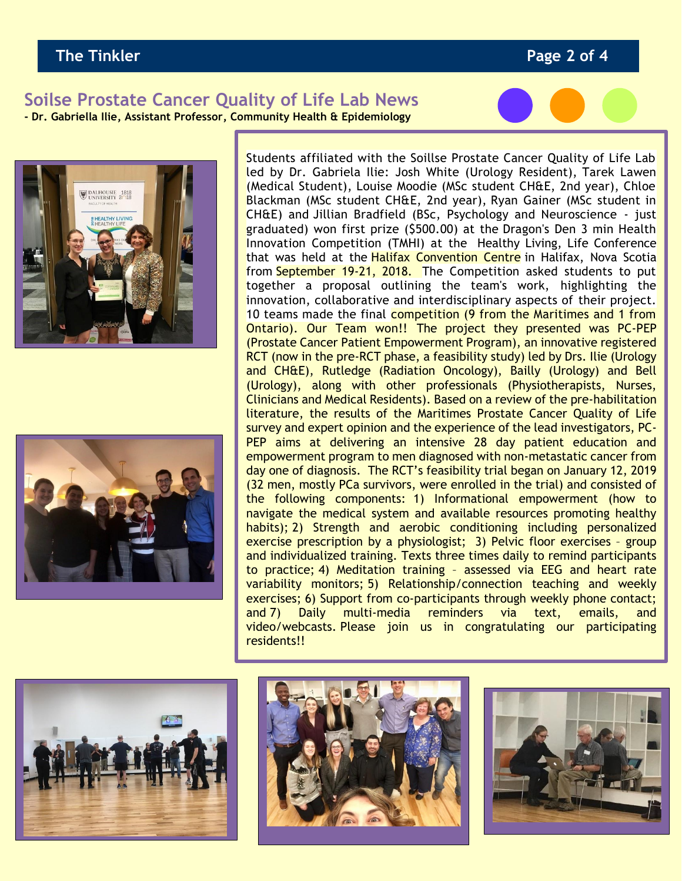### **The Tinkler Page 2 of 4**

#### **Soilse Prostate Cancer Quality of Life Lab News - Dr. Gabriella Ilie, Assistant Professor, Community Health & Epidemiology**







Students affiliated with the Soillse Prostate Cancer Quality of Life Lab led by Dr. Gabriela Ilie: Josh White (Urology Resident), Tarek Lawen (Medical Student), Louise Moodie (MSc student CH&E, 2nd year), Chloe Blackman (MSc student CH&E, 2nd year), Ryan Gainer (MSc student in CH&E) and Jillian Bradfield (BSc, Psychology and Neuroscience - just graduated) won first prize (\$500.00) at the Dragon's Den 3 min Health Innovation Competition (TMHI) at the Healthy Living, Life Conference that was held at the Halifax Convention Centre in Halifax, Nova Scotia from September 19-21, 2018. The Competition asked students to put together a proposal outlining the team's work, highlighting the innovation, collaborative and interdisciplinary aspects of their project. 10 teams made the final competition (9 from the Maritimes and 1 from Ontario). Our Team won!! The project they presented was PC-PEP (Prostate Cancer Patient Empowerment Program), an innovative registered RCT (now in the pre-RCT phase, a feasibility study) led by Drs. Ilie (Urology and CH&E), Rutledge (Radiation Oncology), Bailly (Urology) and Bell (Urology), along with other professionals (Physiotherapists, Nurses, Clinicians and Medical Residents). Based on a review of the pre-habilitation literature, the results of the Maritimes Prostate Cancer Quality of Life survey and expert opinion and the experience of the lead investigators, PC-PEP aims at delivering an intensive 28 day patient education and empowerment program to men diagnosed with non-metastatic cancer from day one of diagnosis. The RCT's feasibility trial began on January 12, 2019 (32 men, mostly PCa survivors, were enrolled in the trial) and consisted of the following components: 1) Informational empowerment (how to navigate the medical system and available resources promoting healthy habits); 2) Strength and aerobic conditioning including personalized exercise prescription by a physiologist; 3) Pelvic floor exercises – group and individualized training. Texts three times daily to remind participants to practice; 4) Meditation training – assessed via EEG and heart rate variability monitors; 5) Relationship/connection teaching and weekly exercises; 6) Support from co-participants through weekly phone contact; and 7) Daily multi-media reminders via text, emails, and video/webcasts. Please join us in congratulating our participating residents!!





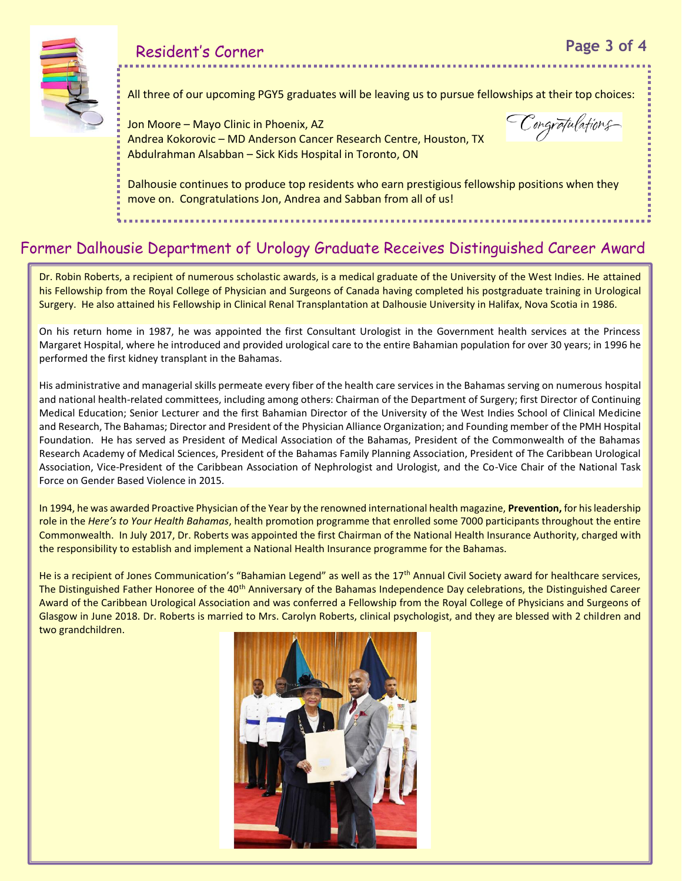All three of our upcoming PGY5 graduates will be leaving us to pursue fellowships at their top choices:

Jon Moore – Mayo Clinic in Phoenix, AZ Andrea Kokorovic – MD Anderson Cancer Research Centre, Houston, TX Abdulrahman Alsabban – Sick Kids Hospital in Toronto, ON

Congrafulations

Dalhousie continues to produce top residents who earn prestigious fellowship positions when they move on. Congratulations Jon, Andrea and Sabban from all of us!

## Former Dalhousie Department of Urology Graduate Receives Distinguished Career Award

Dr. Robin Roberts, a recipient of numerous scholastic awards, is a medical graduate of the University of the West Indies. He attained his Fellowship from the Royal College of Physician and Surgeons of Canada having completed his postgraduate training in Urological Surgery. He also attained his Fellowship in Clinical Renal Transplantation at Dalhousie University in Halifax, Nova Scotia in 1986.

On his return home in 1987, he was appointed the first Consultant Urologist in the Government health services at the Princess Margaret Hospital, where he introduced and provided urological care to the entire Bahamian population for over 30 years; in 1996 he performed the first kidney transplant in the Bahamas.

His administrative and managerial skills permeate every fiber of the health care services in the Bahamas serving on numerous hospital and national health-related committees, including among others: Chairman of the Department of Surgery; first Director of Continuing Medical Education; Senior Lecturer and the first Bahamian Director of the University of the West Indies School of Clinical Medicine and Research, The Bahamas; Director and President of the Physician Alliance Organization; and Founding member of the PMH Hospital Foundation. He has served as President of Medical Association of the Bahamas, President of the Commonwealth of the Bahamas Research Academy of Medical Sciences, President of the Bahamas Family Planning Association, President of The Caribbean Urological Association, Vice-President of the Caribbean Association of Nephrologist and Urologist, and the Co-Vice Chair of the National Task Force on Gender Based Violence in 2015.

In 1994, he was awarded Proactive Physician of the Year by the renowned international health magazine, **Prevention,** for his leadership role in the *Here's to Your Health Bahamas*, health promotion programme that enrolled some 7000 participants throughout the entire Commonwealth. In July 2017, Dr. Roberts was appointed the first Chairman of the National Health Insurance Authority, charged with the responsibility to establish and implement a National Health Insurance programme for the Bahamas.

He is a recipient of Jones Communication's "Bahamian Legend" as well as the 17<sup>th</sup> Annual Civil Society award for healthcare services, The Distinguished Father Honoree of the 40<sup>th</sup> Anniversary of the Bahamas Independence Day celebrations, the Distinguished Career Award of the Caribbean Urological Association and was conferred a Fellowship from the Royal College of Physicians and Surgeons of Glasgow in June 2018. Dr. Roberts is married to Mrs. Carolyn Roberts, clinical psychologist, and they are blessed with 2 children and two grandchildren.